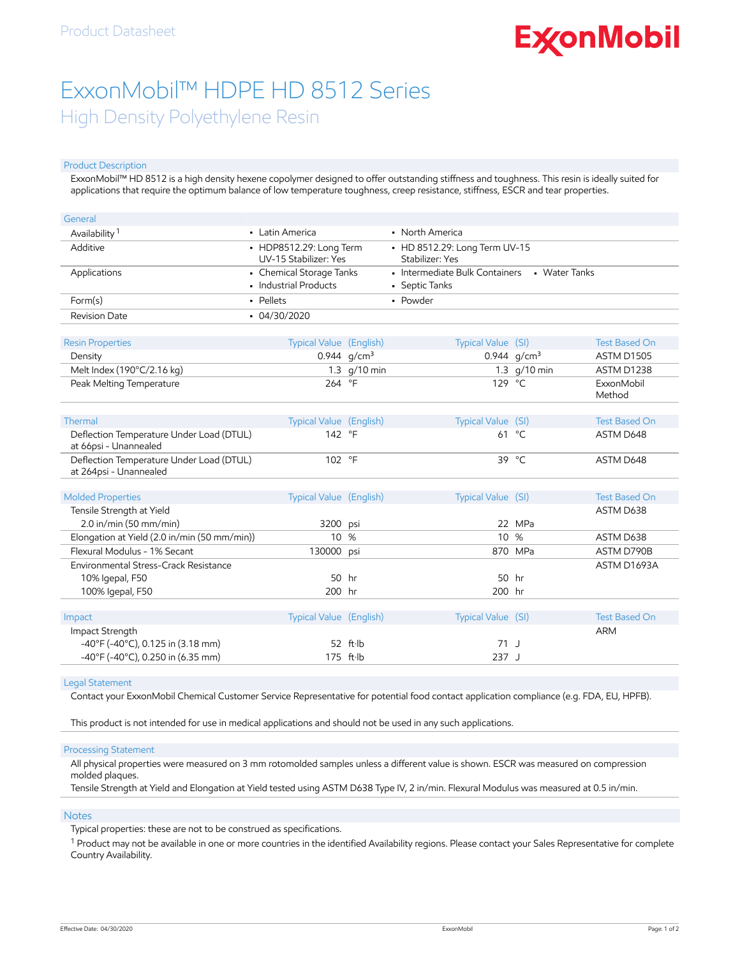# **ExconMobil**

## ExxonMobil™ HDPE HD 8512 Series High Density Polyethylene Resin

#### Product Description

ExxonMobil™ HD 8512 is a high density hexene copolymer designed to offer outstanding stiffness and toughness. This resin is ideally suited for applications that require the optimum balance of low temperature toughness, creep resistance, stiffness, ESCR and tear properties.

| General                                                            |                                                   |                |                                                  |                 |                      |
|--------------------------------------------------------------------|---------------------------------------------------|----------------|--------------------------------------------------|-----------------|----------------------|
| Availability <sup>1</sup>                                          | • Latin America                                   |                | • North America                                  |                 |                      |
| Additive                                                           | • HDP8512.29: Long Term<br>UV-15 Stabilizer: Yes  |                | • HD 8512.29: Long Term UV-15<br>Stabilizer: Yes |                 |                      |
| Applications                                                       | • Chemical Storage Tanks<br>• Industrial Products |                | • Intermediate Bulk Containers<br>• Septic Tanks | • Water Tanks   |                      |
| Form(s)                                                            | · Pellets                                         |                | • Powder                                         |                 |                      |
| <b>Revision Date</b>                                               | $-04/30/2020$                                     |                |                                                  |                 |                      |
| <b>Resin Properties</b>                                            | Typical Value (English)                           |                | Typical Value (SI)                               |                 | <b>Test Based On</b> |
| Density                                                            |                                                   | 0.944 $q/cm^3$ |                                                  | 0.944 $q/cm^3$  | <b>ASTM D1505</b>    |
| Melt Index (190°C/2.16 kg)                                         |                                                   | 1.3 g/10 min   |                                                  | 1.3 g/10 min    | ASTM D1238           |
| Peak Melting Temperature                                           | 264                                               | $\circ$ F      | 129 °C                                           |                 | ExxonMobil<br>Method |
| Thermal                                                            | Typical Value (English)                           |                | Typical Value (SI)                               |                 | <b>Test Based On</b> |
| Deflection Temperature Under Load (DTUL)<br>at 66psi - Unannealed  | 142 °F                                            |                |                                                  | 61 °C           | ASTM D648            |
| Deflection Temperature Under Load (DTUL)<br>at 264psi - Unannealed | 102 °F                                            |                |                                                  | 39 $^{\circ}$ C | ASTM D648            |
| <b>Molded Properties</b>                                           | Typical Value (English)                           |                | Typical Value (SI)                               |                 | <b>Test Based On</b> |
| Tensile Strength at Yield                                          |                                                   |                |                                                  |                 | ASTM D638            |
| $2.0$ in/min (50 mm/min)                                           | 3200 psi                                          |                |                                                  | 22 MPa          |                      |
| Elongation at Yield (2.0 in/min (50 mm/min))                       | 10 <sup>°</sup>                                   | %              | 10 %                                             |                 | ASTM D638            |
| Flexural Modulus - 1% Secant                                       | 130000 psi                                        |                |                                                  | 870 MPa         | ASTM D790B           |
| Environmental Stress-Crack Resistance                              |                                                   |                |                                                  |                 | ASTM D1693A          |
| 10% Igepal, F50                                                    | 50                                                | hr             | 50                                               | hr              |                      |
| 100% Igepal, F50                                                   | 200 hr                                            |                | 200 hr                                           |                 |                      |
|                                                                    |                                                   |                |                                                  |                 |                      |
| Impact                                                             | Typical Value (English)                           |                | Typical Value (SI)                               |                 | <b>Test Based On</b> |
| Impact Strength                                                    |                                                   |                |                                                  |                 | <b>ARM</b>           |
| $-40^{\circ}$ F (-40 $^{\circ}$ C), 0.125 in (3.18 mm)             |                                                   | 52 ft·lb       | $71$ J                                           |                 |                      |
| -40°F (-40°C), 0.250 in (6.35 mm)                                  |                                                   | 175 ft·lb      | 237J                                             |                 |                      |

#### Legal Statement

Contact your ExxonMobil Chemical Customer Service Representative for potential food contact application compliance (e.g. FDA, EU, HPFB).

This product is not intended for use in medical applications and should not be used in any such applications.

#### Processing Statement

All physical properties were measured on 3 mm rotomolded samples unless a different value is shown. ESCR was measured on compression molded plaques.

Tensile Strength at Yield and Elongation at Yield tested using ASTM D638 Type IV, 2 in/min. Flexural Modulus was measured at 0.5 in/min.

#### **Notes**

Typical properties: these are not to be construed as specifications.

 $^1$  Product may not be available in one or more countries in the identified Availability regions. Please contact your Sales Representative for complete Country Availability.